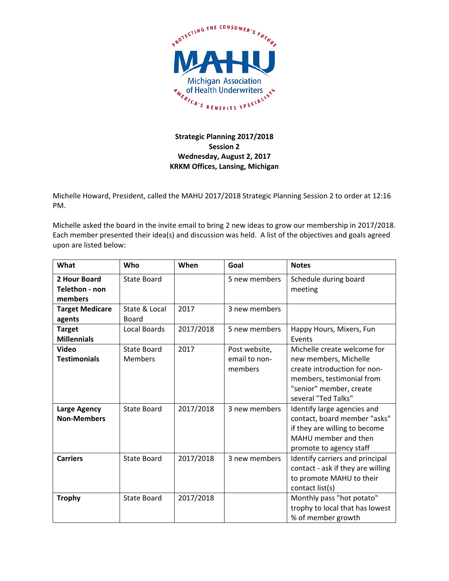

## **Strategic Planning 2017/2018 Session 2 Wednesday, August 2, 2017 KRKM Offices, Lansing, Michigan**

Michelle Howard, President, called the MAHU 2017/2018 Strategic Planning Session 2 to order at 12:16 PM.

Michelle asked the board in the invite email to bring 2 new ideas to grow our membership in 2017/2018. Each member presented their idea(s) and discussion was held. A list of the objectives and goals agreed upon are listed below:

| What                           | Who                 | When      | Goal          | <b>Notes</b>                      |
|--------------------------------|---------------------|-----------|---------------|-----------------------------------|
| 2 Hour Board<br>Telethon - non | <b>State Board</b>  |           | 5 new members | Schedule during board<br>meeting  |
| members                        |                     |           |               |                                   |
| <b>Target Medicare</b>         | State & Local       | 2017      | 3 new members |                                   |
| agents                         | Board               |           |               |                                   |
| <b>Target</b>                  | <b>Local Boards</b> | 2017/2018 | 5 new members | Happy Hours, Mixers, Fun          |
| <b>Millennials</b>             |                     |           |               | Events                            |
| Video                          | State Board         | 2017      | Post website, | Michelle create welcome for       |
| <b>Testimonials</b>            | <b>Members</b>      |           | email to non- | new members, Michelle             |
|                                |                     |           | members       | create introduction for non-      |
|                                |                     |           |               | members, testimonial from         |
|                                |                     |           |               | "senior" member, create           |
|                                |                     |           |               | several "Ted Talks"               |
| <b>Large Agency</b>            | State Board         | 2017/2018 | 3 new members | Identify large agencies and       |
| <b>Non-Members</b>             |                     |           |               | contact, board member "asks"      |
|                                |                     |           |               | if they are willing to become     |
|                                |                     |           |               | MAHU member and then              |
|                                |                     |           |               | promote to agency staff           |
| <b>Carriers</b>                | <b>State Board</b>  | 2017/2018 | 3 new members | Identify carriers and principal   |
|                                |                     |           |               | contact - ask if they are willing |
|                                |                     |           |               | to promote MAHU to their          |
|                                |                     |           |               | contact list(s)                   |
| <b>Trophy</b>                  | <b>State Board</b>  | 2017/2018 |               | Monthly pass "hot potato"         |
|                                |                     |           |               | trophy to local that has lowest   |
|                                |                     |           |               | % of member growth                |